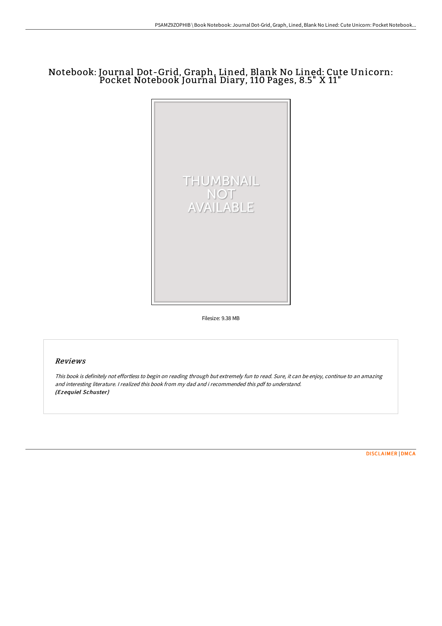# Notebook: Journal Dot-Grid, Graph, Lined, Blank No Lined: Cute Unicorn: Pocket Notebook Journal Diary, 110 Pages, 8.5" X 11"



Filesize: 9.38 MB

### Reviews

This book is definitely not effortless to begin on reading through but extremely fun to read. Sure, it can be enjoy, continue to an amazing and interesting literature. <sup>I</sup> realized this book from my dad and i recommended this pdf to understand. (Ezequiel Schuster)

[DISCLAIMER](http://bookera.tech/disclaimer.html) | [DMCA](http://bookera.tech/dmca.html)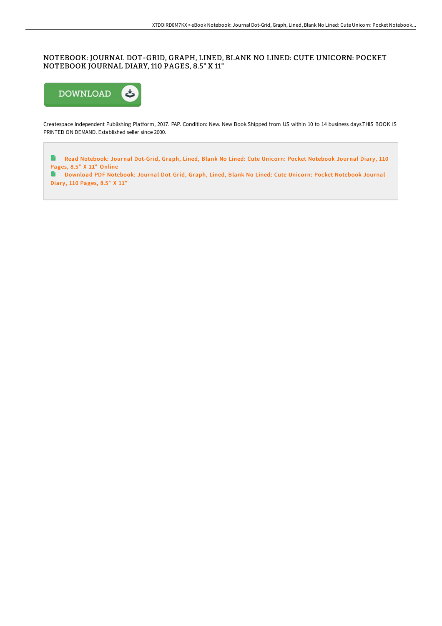## NOTEBOOK: JOURNAL DOT-GRID, GRAPH, LINED, BLANK NO LINED: CUTE UNICORN: POCKET NOTEBOOK JOURNAL DIARY, 110 PAGES, 8.5" X 11"



Createspace Independent Publishing Platform, 2017. PAP. Condition: New. New Book.Shipped from US within 10 to 14 business days.THIS BOOK IS PRINTED ON DEMAND. Established seller since 2000.

 $\blacksquare$ Read [Notebook:](http://bookera.tech/notebook-journal-dot-grid-graph-lined-blank-no-l-289.html) Journal Dot-Grid, Graph, Lined, Blank No Lined: Cute Unicorn: Pocket Notebook Journal Diary, 110 Pages, 8.5" X 11" Online

Download PDF [Notebook:](http://bookera.tech/notebook-journal-dot-grid-graph-lined-blank-no-l-289.html) Journal Dot-Grid, Graph, Lined, Blank No Lined: Cute Unicorn: Pocket Notebook Journal Diary, 110 Pages, 8.5" X 11"